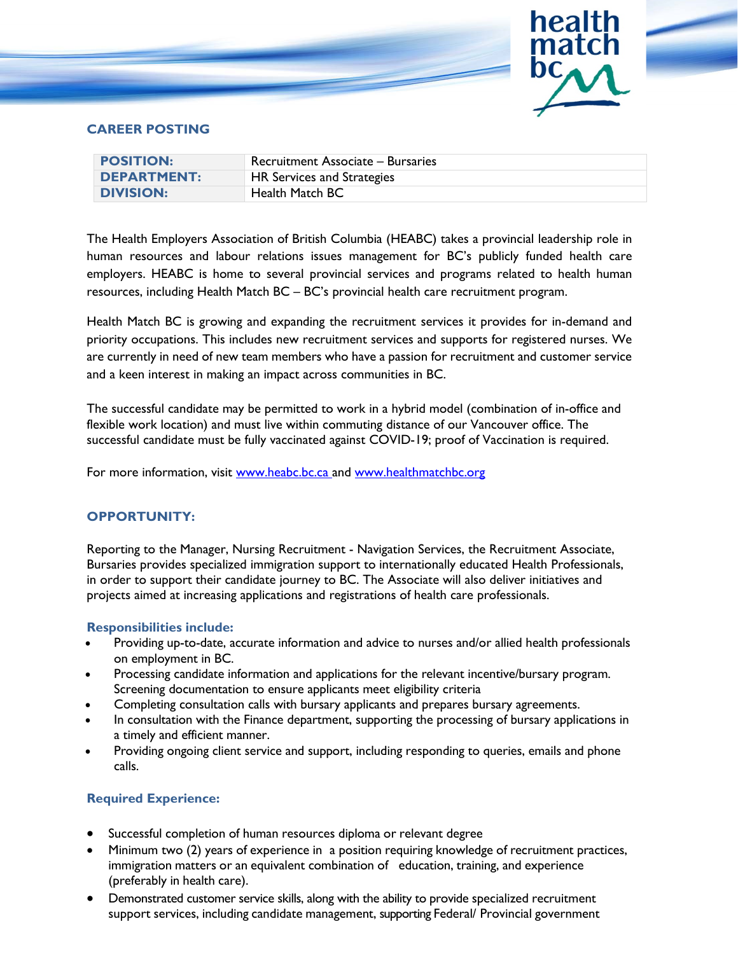

## **CAREER POSTING**

| <b>POSITION:</b>   | Recruitment Associate – Bursaries |
|--------------------|-----------------------------------|
| <b>DEPARTMENT:</b> | HR Services and Strategies        |
| <b>DIVISION:</b>   | Health Match BC                   |

The Health Employers Association of British Columbia (HEABC) takes a provincial leadership role in human resources and labour relations issues management for BC's publicly funded health care employers. HEABC is home to several provincial services and programs related to health human resources, including Health Match BC – BC's provincial health care recruitment program.

Health Match BC is growing and expanding the recruitment services it provides for in-demand and priority occupations. This includes new recruitment services and supports for registered nurses. We are currently in need of new team members who have a passion for recruitment and customer service and a keen interest in making an impact across communities in BC.

The successful candidate may be permitted to work in a hybrid model (combination of in-office and flexible work location) and must live within commuting distance of our Vancouver office. The successful candidate must be fully vaccinated against COVID-19; proof of Vaccination is required.

For more information, visit [www.heabc.bc.ca](http://www.heabc.bc.ca/) and [www.healthmatchbc.org](http://www.healthmatchbc.org/)

# **OPPORTUNITY:**

Reporting to the Manager, Nursing Recruitment - Navigation Services, the Recruitment Associate, Bursaries provides specialized immigration support to internationally educated Health Professionals, in order to support their candidate journey to BC. The Associate will also deliver initiatives and projects aimed at increasing applications and registrations of health care professionals.

#### **Responsibilities include:**

- Providing up-to-date, accurate information and advice to nurses and/or allied health professionals on employment in BC.
- Processing candidate information and applications for the relevant incentive/bursary program. Screening documentation to ensure applicants meet eligibility criteria
- Completing consultation calls with bursary applicants and prepares bursary agreements.
- In consultation with the Finance department, supporting the processing of bursary applications in a timely and efficient manner.
- Providing ongoing client service and support, including responding to queries, emails and phone calls.

#### **Required Experience:**

- Successful completion of human resources diploma or relevant degree
- Minimum two (2) years of experience in a position requiring knowledge of recruitment practices, immigration matters or an equivalent combination of education, training, and experience (preferably in health care).
- Demonstrated customer service skills, along with the ability to provide specialized recruitment support services, including candidate management, supporting Federal/ Provincial government